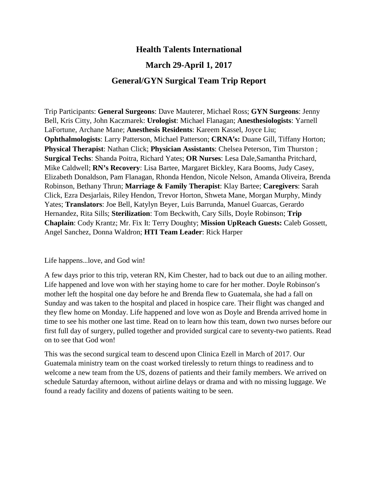# **Health Talents International**

# **March 29-April 1, 2017**

## **General/GYN Surgical Team Trip Report**

Trip Participants: **General Surgeons**: Dave Mauterer, Michael Ross; **GYN Surgeons**: Jenny Bell, Kris Citty, John Kaczmarek: **Urologist**: Michael Flanagan; **Anesthesiologists**: Yarnell LaFortune, Archane Mane; **Anesthesis Residents**: Kareem Kassel, Joyce Liu; **Ophthalmologists**: Larry Patterson, Michael Patterson; **CRNA's:** Duane Gill, Tiffany Horton; **Physical Therapist**: Nathan Click; **Physician Assistants**: Chelsea Peterson, Tim Thurston ; **Surgical Techs**: Shanda Poitra, Richard Yates; **OR Nurses**: Lesa Dale,Samantha Pritchard, Mike Caldwell; **RN's Recovery**: Lisa Bartee, Margaret Bickley, Kara Booms, Judy Casey, Elizabeth Donaldson, Pam Flanagan, Rhonda Hendon, Nicole Nelson, Amanda Oliveira, Brenda Robinson, Bethany Thrun; **Marriage & Family Therapist**: Klay Bartee; **Caregivers**: Sarah Click, Ezra Desjarlais, Riley Hendon, Trevor Horton, Shweta Mane, Morgan Murphy, Mindy Yates; **Translators**: Joe Bell, Katylyn Beyer, Luis Barrunda, Manuel Guarcas, Gerardo Hernandez, Rita Sills; **Sterilization**: Tom Beckwith, Cary Sills, Doyle Robinson; **Trip Chaplain**: Cody Krantz; Mr. Fix It: Terry Doughty; **Mission UpReach Guests:** Caleb Gossett, Angel Sanchez, Donna Waldron; **HTI Team Leader**: Rick Harper

#### Life happens…love, and God win!

A few days prior to this trip, veteran RN, Kim Chester, had to back out due to an ailing mother. Life happened and love won with her staying home to care for her mother. Doyle Robinson's mother left the hospital one day before he and Brenda flew to Guatemala, she had a fall on Sunday and was taken to the hospital and placed in hospice care. Their flight was changed and they flew home on Monday. Life happened and love won as Doyle and Brenda arrived home in time to see his mother one last time. Read on to learn how this team, down two nurses before our first full day of surgery, pulled together and provided surgical care to seventy-two patients. Read on to see that God won!

This was the second surgical team to descend upon Clinica Ezell in March of 2017. Our Guatemala ministry team on the coast worked tirelessly to return things to readiness and to welcome a new team from the US, dozens of patients and their family members. We arrived on schedule Saturday afternoon, without airline delays or drama and with no missing luggage. We found a ready facility and dozens of patients waiting to be seen.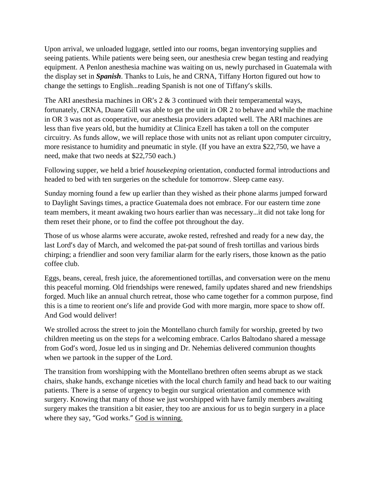Upon arrival, we unloaded luggage, settled into our rooms, began inventorying supplies and seeing patients. While patients were being seen, our anesthesia crew began testing and readying equipment. A Penlon anesthesia machine was waiting on us, newly purchased in Guatemala with the display set in *Spanish*. Thanks to Luis, he and CRNA, Tiffany Horton figured out how to change the settings to English…reading Spanish is not one of Tiffany's skills.

The ARI anesthesia machines in OR's 2 & 3 continued with their temperamental ways, fortunately, CRNA, Duane Gill was able to get the unit in OR 2 to behave and while the machine in OR 3 was not as cooperative, our anesthesia providers adapted well. The ARI machines are less than five years old, but the humidity at Clinica Ezell has taken a toll on the computer circuitry. As funds allow, we will replace those with units not as reliant upon computer circuitry, more resistance to humidity and pneumatic in style. (If you have an extra \$22,750, we have a need, make that two needs at \$22,750 each.)

Following supper, we held a brief *housekeeping* orientation, conducted formal introductions and headed to bed with ten surgeries on the schedule for tomorrow. Sleep came easy.

Sunday morning found a few up earlier than they wished as their phone alarms jumped forward to Daylight Savings times, a practice Guatemala does not embrace. For our eastern time zone team members, it meant awaking two hours earlier than was necessary…it did not take long for them reset their phone, or to find the coffee pot throughout the day.

Those of us whose alarms were accurate, awoke rested, refreshed and ready for a new day, the last Lord's day of March, and welcomed the pat-pat sound of fresh tortillas and various birds chirping; a friendlier and soon very familiar alarm for the early risers, those known as the patio coffee club.

Eggs, beans, cereal, fresh juice, the aforementioned tortillas, and conversation were on the menu this peaceful morning. Old friendships were renewed, family updates shared and new friendships forged. Much like an annual church retreat, those who came together for a common purpose, find this is a time to reorient one's life and provide God with more margin, more space to show off. And God would deliver!

We strolled across the street to join the Montellano church family for worship, greeted by two children meeting us on the steps for a welcoming embrace. Carlos Baltodano shared a message from God's word, Josue led us in singing and Dr. Nehemias delivered communion thoughts when we partook in the supper of the Lord.

The transition from worshipping with the Montellano brethren often seems abrupt as we stack chairs, shake hands, exchange niceties with the local church family and head back to our waiting patients. There is a sense of urgency to begin our surgical orientation and commence with surgery. Knowing that many of those we just worshipped with have family members awaiting surgery makes the transition a bit easier, they too are anxious for us to begin surgery in a place where they say, "God works." God is winning.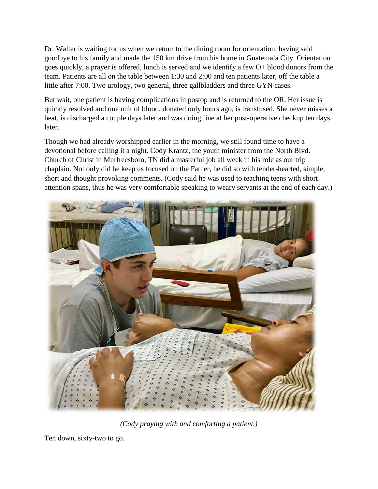Dr. Walter is waiting for us when we return to the dining room for orientation, having said goodbye to his family and made the 150 km drive from his home in Guatemala City. Orientation goes quickly, a prayer is offered, lunch is served and we identify a few O+ blood donors from the team. Patients are all on the table between 1:30 and 2:00 and ten patients later, off the table a little after 7:00. Two urology, two general, three gallbladders and three GYN cases.

But wait, one patient is having complications in postop and is returned to the OR. Her issue is quickly resolved and one unit of blood, donated only hours ago, is transfused. She never misses a beat, is discharged a couple days later and was doing fine at her post-operative checkup ten days later.

Though we had already worshipped earlier in the morning, we still found time to have a devotional before calling it a night. Cody Krantz, the youth minister from the North Blvd. Church of Christ in Murfreesboro, TN did a masterful job all week in his role as our trip chaplain. Not only did he keep us focused on the Father, he did so with tender-hearted, simple, short and thought provoking comments. (Cody said he was used to teaching teens with short attention spans, thus he was very comfortable speaking to weary servants at the end of each day.)



*(Cody praying with and comforting a patient.)*

Ten down, sixty-two to go.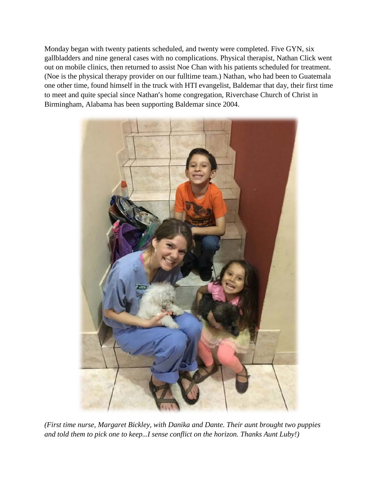Monday began with twenty patients scheduled, and twenty were completed. Five GYN, six gallbladders and nine general cases with no complications. Physical therapist, Nathan Click went out on mobile clinics, then returned to assist Noe Chan with his patients scheduled for treatment. (Noe is the physical therapy provider on our fulltime team.) Nathan, who had been to Guatemala one other time, found himself in the truck with HTI evangelist, Baldemar that day, their first time to meet and quite special since Nathan's home congregation, Riverchase Church of Christ in Birmingham, Alabama has been supporting Baldemar since 2004.



*(First time nurse, Margaret Bickley, with Danika and Dante. Their aunt brought two puppies and told them to pick one to keep…I sense conflict on the horizon. Thanks Aunt Luby!)*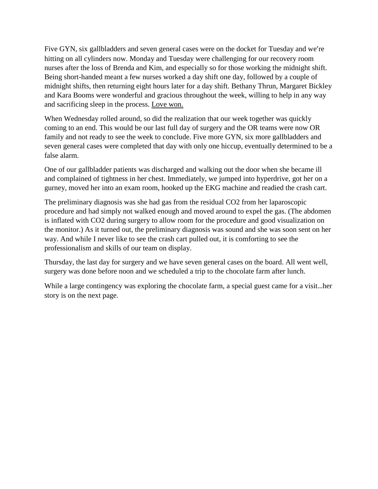Five GYN, six gallbladders and seven general cases were on the docket for Tuesday and we're hitting on all cylinders now. Monday and Tuesday were challenging for our recovery room nurses after the loss of Brenda and Kim, and especially so for those working the midnight shift. Being short-handed meant a few nurses worked a day shift one day, followed by a couple of midnight shifts, then returning eight hours later for a day shift. Bethany Thrun, Margaret Bickley and Kara Booms were wonderful and gracious throughout the week, willing to help in any way and sacrificing sleep in the process. Love won.

When Wednesday rolled around, so did the realization that our week together was quickly coming to an end. This would be our last full day of surgery and the OR teams were now OR family and not ready to see the week to conclude. Five more GYN, six more gallbladders and seven general cases were completed that day with only one hiccup, eventually determined to be a false alarm.

One of our gallbladder patients was discharged and walking out the door when she became ill and complained of tightness in her chest. Immediately, we jumped into hyperdrive, got her on a gurney, moved her into an exam room, hooked up the EKG machine and readied the crash cart.

The preliminary diagnosis was she had gas from the residual CO2 from her laparoscopic procedure and had simply not walked enough and moved around to expel the gas. (The abdomen is inflated with CO2 during surgery to allow room for the procedure and good visualization on the monitor.) As it turned out, the preliminary diagnosis was sound and she was soon sent on her way. And while I never like to see the crash cart pulled out, it is comforting to see the professionalism and skills of our team on display.

Thursday, the last day for surgery and we have seven general cases on the board. All went well, surgery was done before noon and we scheduled a trip to the chocolate farm after lunch.

While a large contingency was exploring the chocolate farm, a special guest came for a visit…her story is on the next page.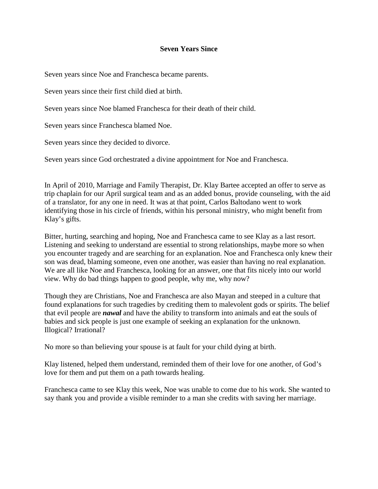### **Seven Years Since**

Seven years since Noe and Franchesca became parents.

Seven years since their first child died at birth.

Seven years since Noe blamed Franchesca for their death of their child.

Seven years since Franchesca blamed Noe.

Seven years since they decided to divorce.

Seven years since God orchestrated a divine appointment for Noe and Franchesca.

In April of 2010, Marriage and Family Therapist, Dr. Klay Bartee accepted an offer to serve as trip chaplain for our April surgical team and as an added bonus, provide counseling, with the aid of a translator, for any one in need. It was at that point, Carlos Baltodano went to work identifying those in his circle of friends, within his personal ministry, who might benefit from Klay's gifts.

Bitter, hurting, searching and hoping, Noe and Franchesca came to see Klay as a last resort. Listening and seeking to understand are essential to strong relationships, maybe more so when you encounter tragedy and are searching for an explanation. Noe and Franchesca only knew their son was dead, blaming someone, even one another, was easier than having no real explanation. We are all like Noe and Franchesca, looking for an answer, one that fits nicely into our world view. Why do bad things happen to good people, why me, why now?

Though they are Christians, Noe and Franchesca are also Mayan and steeped in a culture that found explanations for such tragedies by crediting them to malevolent gods or spirits. The belief that evil people are *nawal* and have the ability to transform into animals and eat the souls of babies and sick people is just one example of seeking an explanation for the unknown. Illogical? Irrational?

No more so than believing your spouse is at fault for your child dying at birth.

Klay listened, helped them understand, reminded them of their love for one another, of God's love for them and put them on a path towards healing.

Franchesca came to see Klay this week, Noe was unable to come due to his work. She wanted to say thank you and provide a visible reminder to a man she credits with saving her marriage.